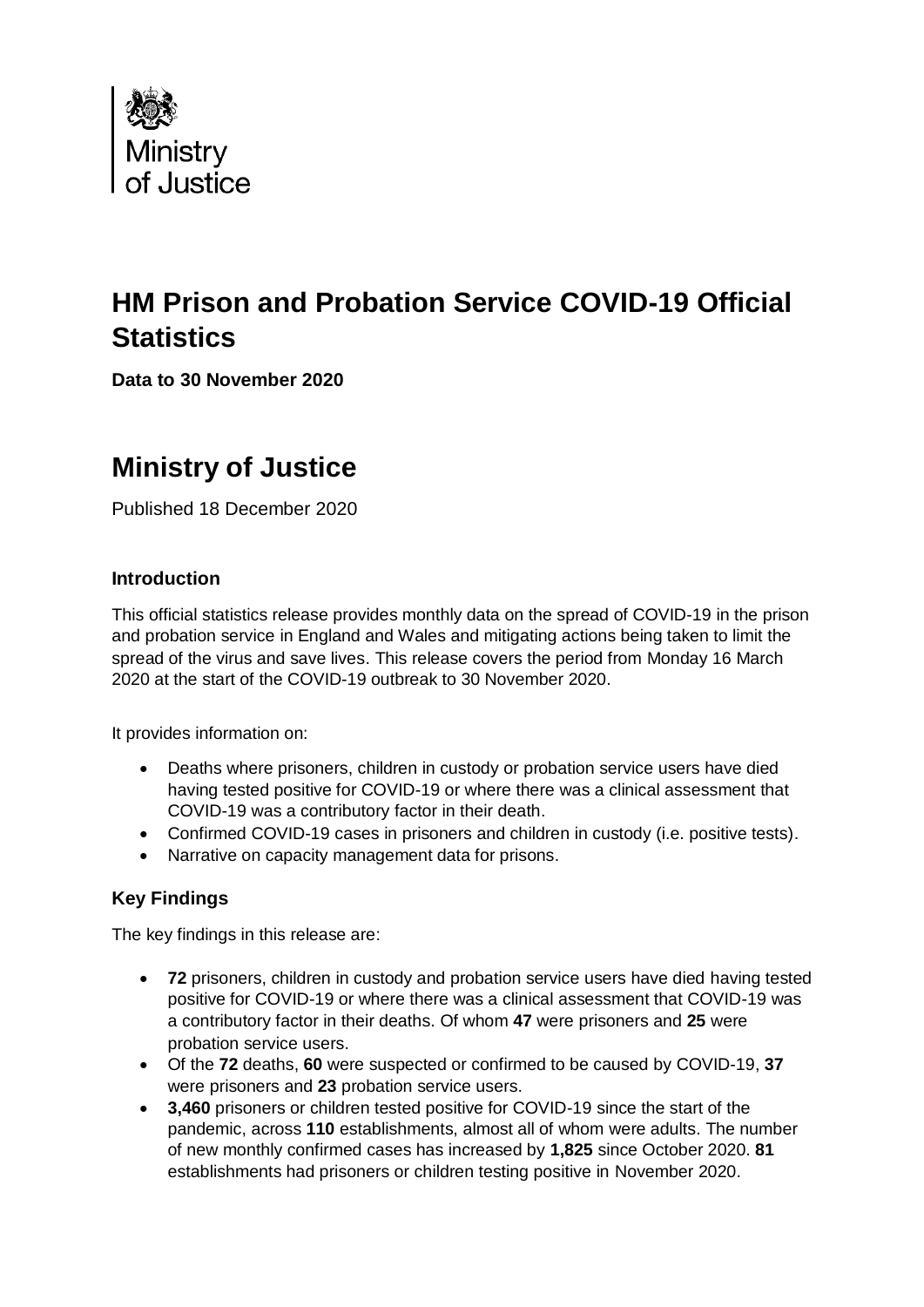

# **HM Prison and Probation Service COVID-19 Official Statistics**

**Data to 30 November 2020**

# **Ministry of Justice**

Published 18 December 2020

### **Introduction**

This official statistics release provides monthly data on the spread of COVID-19 in the prison and probation service in England and Wales and mitigating actions being taken to limit the spread of the virus and save lives. This release covers the period from Monday 16 March 2020 at the start of the COVID-19 outbreak to 30 November 2020.

It provides information on:

- Deaths where prisoners, children in custody or probation service users have died having tested positive for COVID-19 or where there was a clinical assessment that COVID-19 was a contributory factor in their death.
- Confirmed COVID-19 cases in prisoners and children in custody (i.e. positive tests).
- Narrative on capacity management data for prisons.

## **Key Findings**

The key findings in this release are:

- **72** prisoners, children in custody and probation service users have died having tested positive for COVID-19 or where there was a clinical assessment that COVID-19 was a contributory factor in their deaths. Of whom **47** were prisoners and **25** were probation service users.
- Of the **72** deaths, **60** were suspected or confirmed to be caused by COVID-19, **37** were prisoners and **23** probation service users.
- **3,460** prisoners or children tested positive for COVID-19 since the start of the pandemic, across **110** establishments, almost all of whom were adults. The number of new monthly confirmed cases has increased by **1,825** since October 2020. **81** establishments had prisoners or children testing positive in November 2020.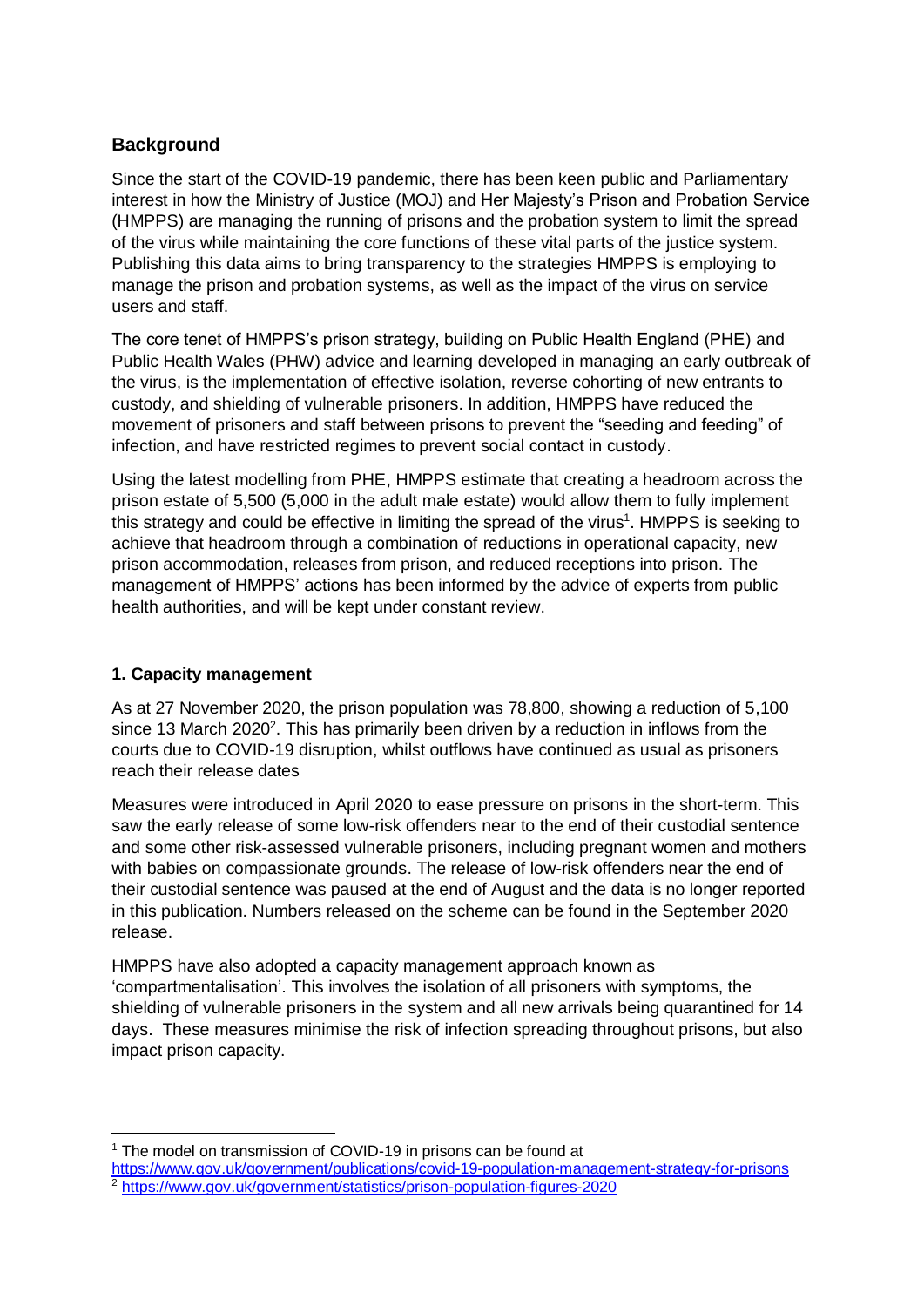## **Background**

Since the start of the COVID-19 pandemic, there has been keen public and Parliamentary interest in how the Ministry of Justice (MOJ) and Her Majesty's Prison and Probation Service (HMPPS) are managing the running of prisons and the probation system to limit the spread of the virus while maintaining the core functions of these vital parts of the justice system. Publishing this data aims to bring transparency to the strategies HMPPS is employing to manage the prison and probation systems, as well as the impact of the virus on service users and staff.

The core tenet of HMPPS's prison strategy, building on Public Health England (PHE) and Public Health Wales (PHW) advice and learning developed in managing an early outbreak of the virus, is the implementation of effective isolation, reverse cohorting of new entrants to custody, and shielding of vulnerable prisoners. In addition, HMPPS have reduced the movement of prisoners and staff between prisons to prevent the "seeding and feeding" of infection, and have restricted regimes to prevent social contact in custody.

Using the latest modelling from PHE, HMPPS estimate that creating a headroom across the prison estate of 5,500 (5,000 in the adult male estate) would allow them to fully implement this strategy and could be effective in limiting the spread of the virus<sup>1</sup>. HMPPS is seeking to achieve that headroom through a combination of reductions in operational capacity, new prison accommodation, releases from prison, and reduced receptions into prison. The management of HMPPS' actions has been informed by the advice of experts from public health authorities, and will be kept under constant review.

### **1. Capacity management**

**.** 

As at 27 November 2020, the prison population was 78,800, showing a reduction of 5,100 since 13 March 2020<sup>2</sup>. This has primarily been driven by a reduction in inflows from the courts due to COVID-19 disruption, whilst outflows have continued as usual as prisoners reach their release dates

Measures were introduced in April 2020 to ease pressure on prisons in the short-term. This saw the early release of some low-risk offenders near to the end of their custodial sentence and some other risk-assessed vulnerable prisoners, including pregnant women and mothers with babies on compassionate grounds. The release of low-risk offenders near the end of their custodial sentence was paused at the end of August and the data is no longer reported in this publication. Numbers released on the scheme can be found in the September 2020 release.

HMPPS have also adopted a capacity management approach known as 'compartmentalisation'. This involves the isolation of all prisoners with symptoms, the shielding of vulnerable prisoners in the system and all new arrivals being quarantined for 14 days. These measures minimise the risk of infection spreading throughout prisons, but also impact prison capacity.

<sup>&</sup>lt;sup>1</sup> The model on transmission of COVID-19 in prisons can be found at

<https://www.gov.uk/government/publications/covid-19-population-management-strategy-for-prisons> <sup>2</sup> <https://www.gov.uk/government/statistics/prison-population-figures-2020>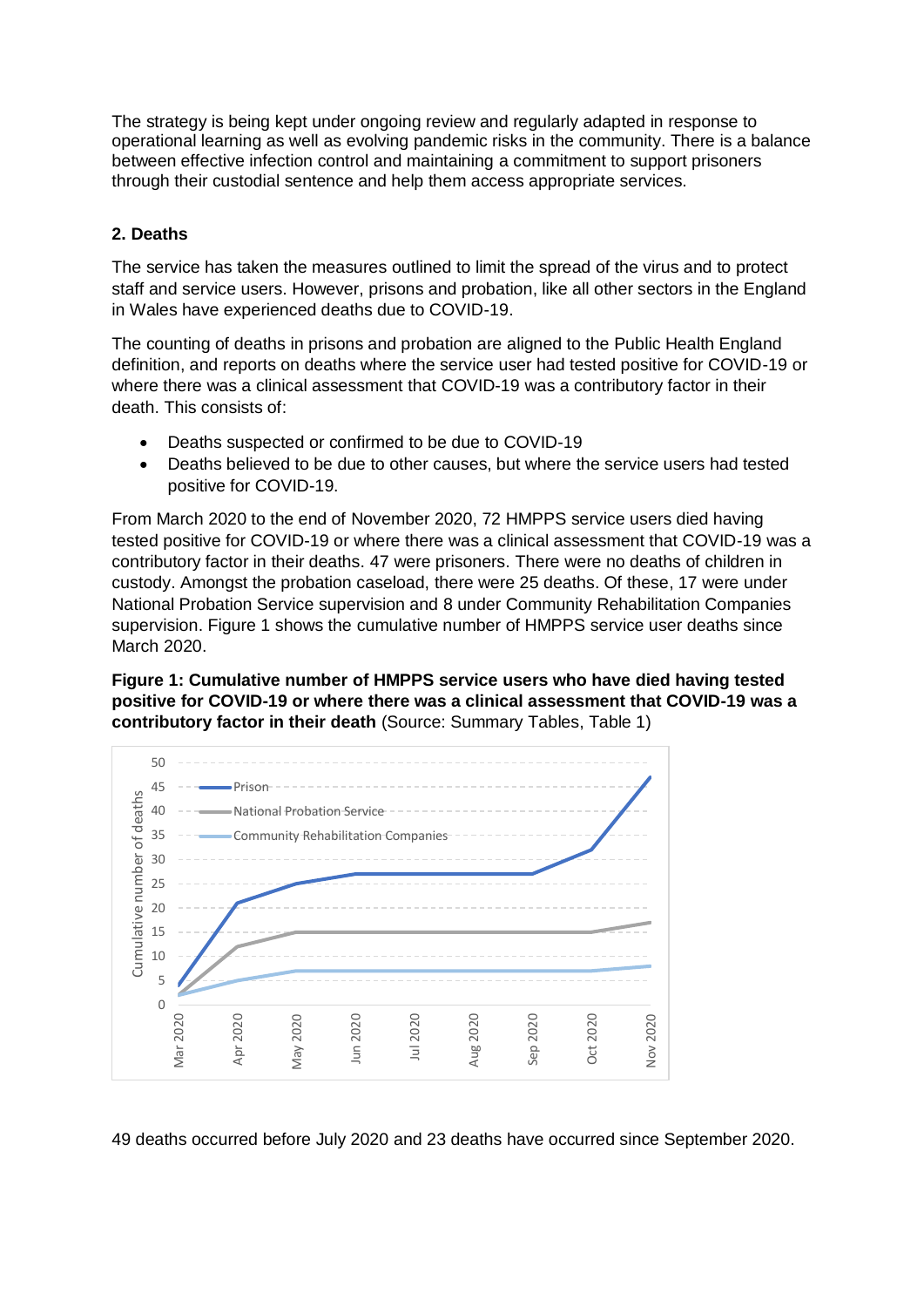The strategy is being kept under ongoing review and regularly adapted in response to operational learning as well as evolving pandemic risks in the community. There is a balance between effective infection control and maintaining a commitment to support prisoners through their custodial sentence and help them access appropriate services.

### **2. Deaths**

The service has taken the measures outlined to limit the spread of the virus and to protect staff and service users. However, prisons and probation, like all other sectors in the England in Wales have experienced deaths due to COVID-19.

The counting of deaths in prisons and probation are aligned to the Public Health England definition, and reports on deaths where the service user had tested positive for COVID-19 or where there was a clinical assessment that COVID-19 was a contributory factor in their death. This consists of:

- Deaths suspected or confirmed to be due to COVID-19
- Deaths believed to be due to other causes, but where the service users had tested positive for COVID-19.

From March 2020 to the end of November 2020, 72 HMPPS service users died having tested positive for COVID-19 or where there was a clinical assessment that COVID-19 was a contributory factor in their deaths. 47 were prisoners. There were no deaths of children in custody. Amongst the probation caseload, there were 25 deaths. Of these, 17 were under National Probation Service supervision and 8 under Community Rehabilitation Companies supervision. Figure 1 shows the cumulative number of HMPPS service user deaths since March 2020.

**Figure 1: Cumulative number of HMPPS service users who have died having tested positive for COVID-19 or where there was a clinical assessment that COVID-19 was a contributory factor in their death** (Source: Summary Tables, Table 1)



49 deaths occurred before July 2020 and 23 deaths have occurred since September 2020.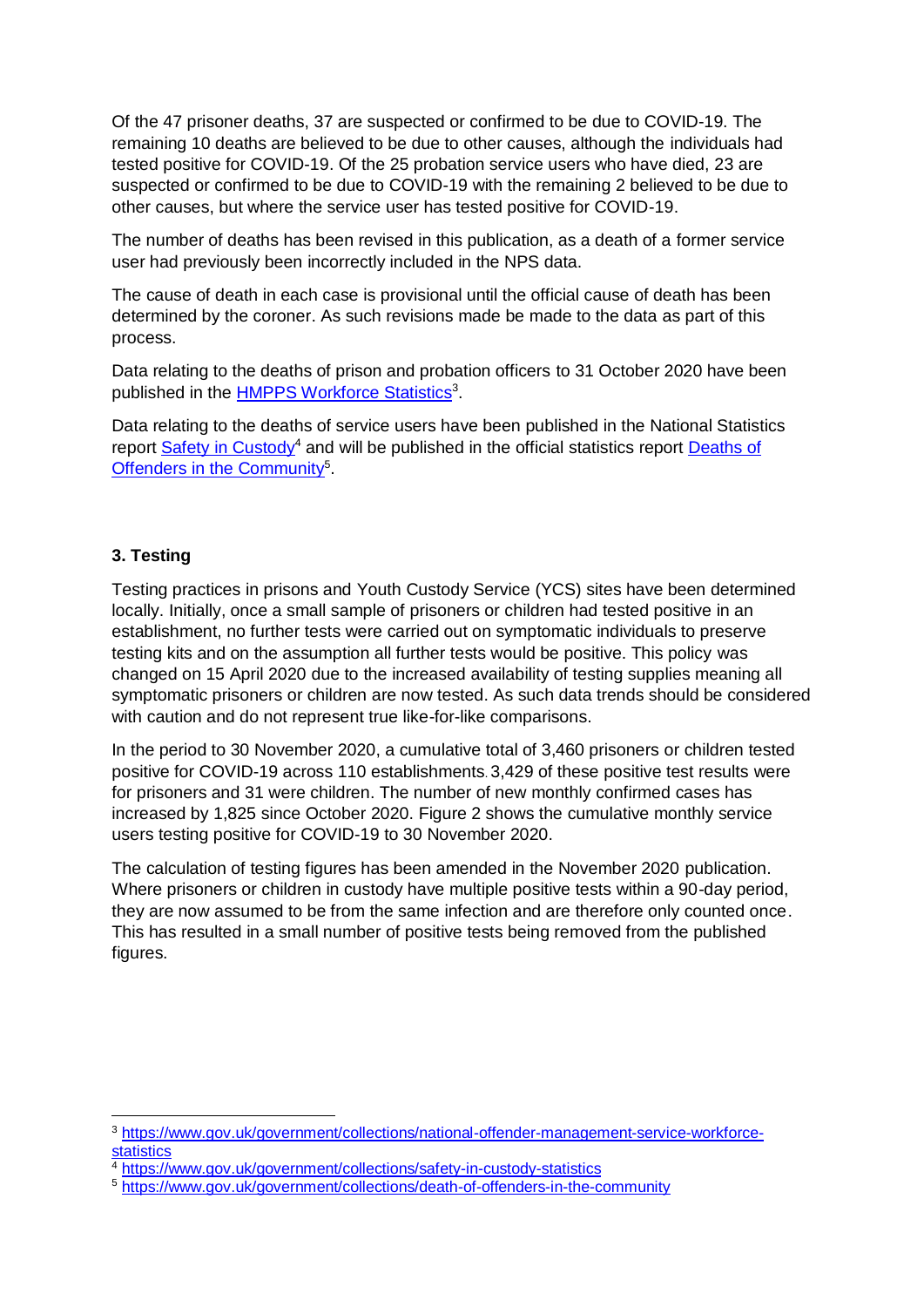Of the 47 prisoner deaths, 37 are suspected or confirmed to be due to COVID-19. The remaining 10 deaths are believed to be due to other causes, although the individuals had tested positive for COVID-19. Of the 25 probation service users who have died, 23 are suspected or confirmed to be due to COVID-19 with the remaining 2 believed to be due to other causes, but where the service user has tested positive for COVID-19.

The number of deaths has been revised in this publication, as a death of a former service user had previously been incorrectly included in the NPS data.

The cause of death in each case is provisional until the official cause of death has been determined by the coroner. As such revisions made be made to the data as part of this process.

Data relating to the deaths of prison and probation officers to 31 October 2020 have been published in the **HMPPS Workforce Statistics**<sup>3</sup>.

Data relating to the deaths of service users have been published in the National Statistics report [Safety in Custody](https://www.gov.uk/government/collections/safety-in-custody-statistics)<sup>4</sup> and will be published in the official statistics report Deaths of [Offenders in the Community](https://www.gov.uk/government/collections/death-of-offenders-in-the-community)<sup>5</sup>.

#### **3. Testing**

1

Testing practices in prisons and Youth Custody Service (YCS) sites have been determined locally. Initially, once a small sample of prisoners or children had tested positive in an establishment, no further tests were carried out on symptomatic individuals to preserve testing kits and on the assumption all further tests would be positive. This policy was changed on 15 April 2020 due to the increased availability of testing supplies meaning all symptomatic prisoners or children are now tested. As such data trends should be considered with caution and do not represent true like-for-like comparisons.

In the period to 30 November 2020, a cumulative total of 3,460 prisoners or children tested positive for COVID-19 across 110 establishments. 3,429 of these positive test results were for prisoners and 31 were children. The number of new monthly confirmed cases has increased by 1,825 since October 2020. Figure 2 shows the cumulative monthly service users testing positive for COVID-19 to 30 November 2020.

The calculation of testing figures has been amended in the November 2020 publication. Where prisoners or children in custody have multiple positive tests within a 90-day period, they are now assumed to be from the same infection and are therefore only counted once. This has resulted in a small number of positive tests being removed from the published figures.

<sup>3</sup> [https://www.gov.uk/government/collections/national-offender-management-service-workforce](https://www.gov.uk/government/collections/national-offender-management-service-workforce-statistics)[statistics](https://www.gov.uk/government/collections/national-offender-management-service-workforce-statistics)

<sup>&</sup>lt;sup>4</sup> <https://www.gov.uk/government/collections/safety-in-custody-statistics>

<sup>5</sup> <https://www.gov.uk/government/collections/death-of-offenders-in-the-community>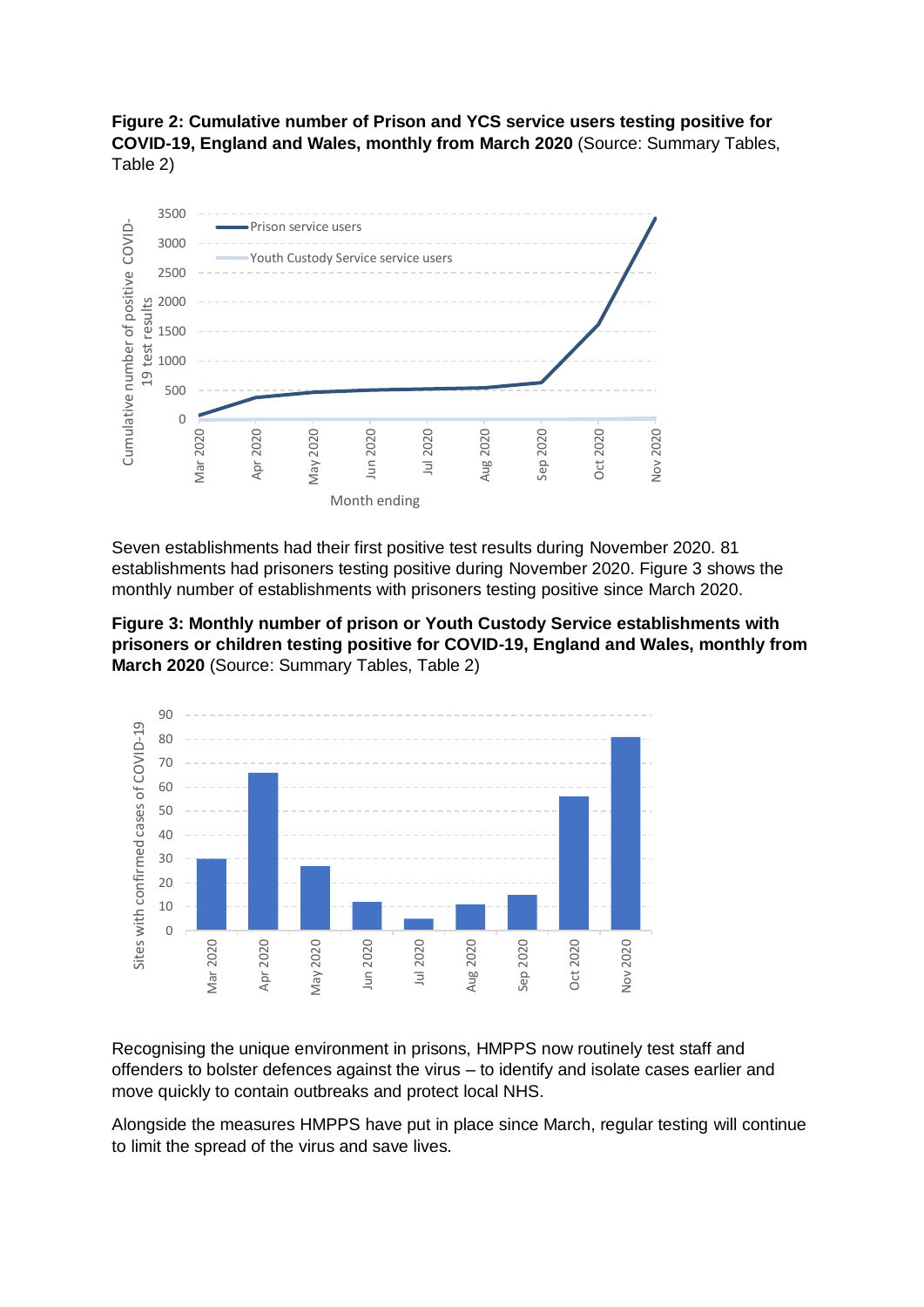**Figure 2: Cumulative number of Prison and YCS service users testing positive for COVID-19, England and Wales, monthly from March 2020** (Source: Summary Tables, Table 2)



Seven establishments had their first positive test results during November 2020. 81 establishments had prisoners testing positive during November 2020. Figure 3 shows the monthly number of establishments with prisoners testing positive since March 2020.





Recognising the unique environment in prisons, HMPPS now routinely test staff and offenders to bolster defences against the virus – to identify and isolate cases earlier and move quickly to contain outbreaks and protect local NHS.

Alongside the measures HMPPS have put in place since March, regular testing will continue to limit the spread of the virus and save lives.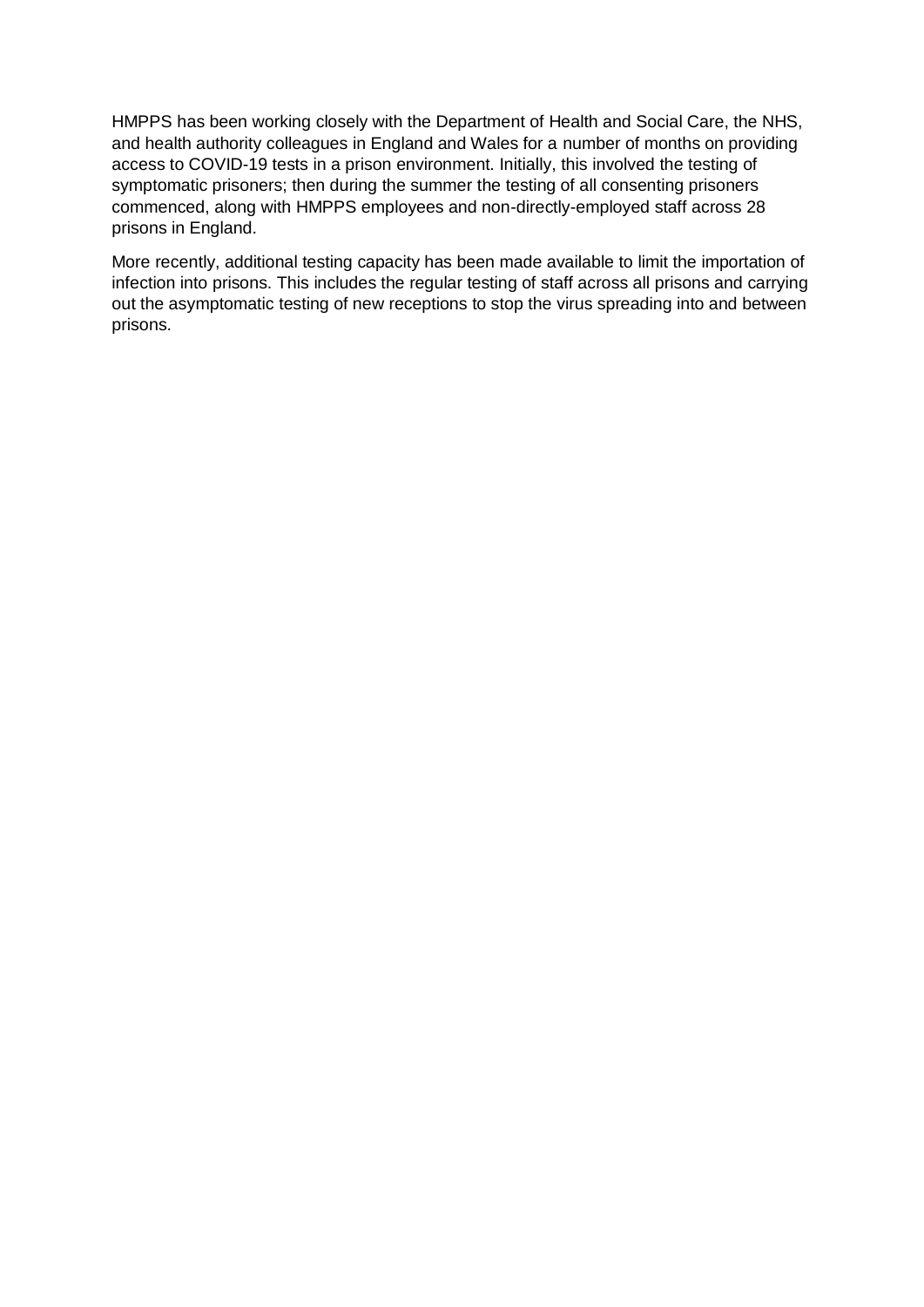HMPPS has been working closely with the Department of Health and Social Care, the NHS, and health authority colleagues in England and Wales for a number of months on providing access to COVID-19 tests in a prison environment. Initially, this involved the testing of symptomatic prisoners; then during the summer the testing of all consenting prisoners commenced, along with HMPPS employees and non-directly-employed staff across 28 prisons in England.

More recently, additional testing capacity has been made available to limit the importation of infection into prisons. This includes the regular testing of staff across all prisons and carrying out the asymptomatic testing of new receptions to stop the virus spreading into and between prisons.